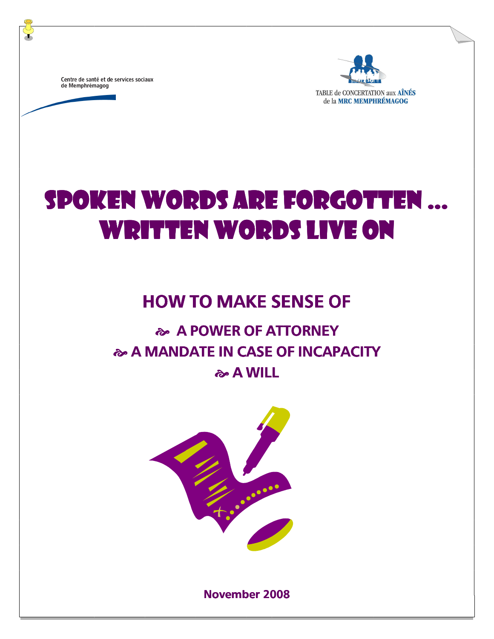Centre de santé et de services sociaux de Memphrémagog



TABLE de CONCERTATION aux AÎNÉS de la MRC MEMPHRÉMAGOG

# SPOKEN WORDS ARE FORGOTTEN ... WRITTEN WORDS LIVE ON

# HOW TO MAKE SENSE OF

# **A POWER OF ATTORNEY A MANDATE IN CASE OF INCAPACITY & A WILL**



November 2008 November 2008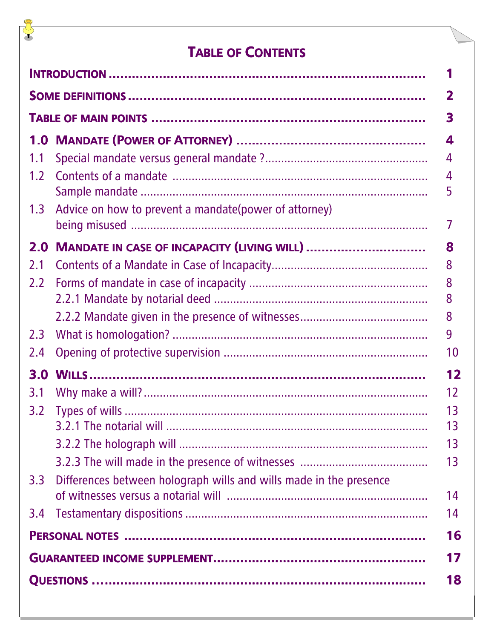# **TABLE OF CONTENTS**

J

|                  |                                                                    | 2      |  |  |
|------------------|--------------------------------------------------------------------|--------|--|--|
|                  |                                                                    | 3      |  |  |
| 1.0              |                                                                    | 4      |  |  |
| 1.1              |                                                                    | 4      |  |  |
| 1.2              |                                                                    | 4<br>5 |  |  |
| 1.3              | Advice on how to prevent a mandate (power of attorney)             |        |  |  |
| 2.0              | <b>MANDATE IN CASE OF INCAPACITY (LIVING WILL) </b>                | 8      |  |  |
| 2.1              |                                                                    | 8      |  |  |
| 2.2              |                                                                    | 8      |  |  |
|                  |                                                                    | 8      |  |  |
|                  |                                                                    | 8      |  |  |
| 2.3              |                                                                    | 9      |  |  |
| 2.4              |                                                                    | 10     |  |  |
| 3.0              |                                                                    | 12     |  |  |
| 3.1              |                                                                    | 12     |  |  |
| 3.2              |                                                                    | 13     |  |  |
|                  |                                                                    | 13     |  |  |
|                  |                                                                    | 13     |  |  |
|                  |                                                                    | 13     |  |  |
| 3.3 <sub>2</sub> | Differences between holograph wills and wills made in the presence | 14     |  |  |
| 3.4              |                                                                    | 14     |  |  |
|                  |                                                                    | 16     |  |  |
|                  |                                                                    |        |  |  |
|                  |                                                                    | 18     |  |  |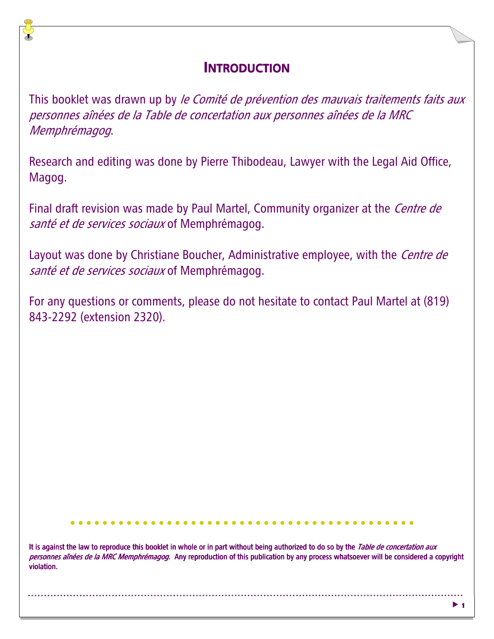#### **INTRODUCTION**

This booklet was drawn up by le Comité de prévention des mauvais traitements faits aux personnes aînées de la Table de concertation aux personnes aînées de la MRC Memphrémagog.

Research and editing was done by Pierre Thibodeau, Lawyer with the Legal Aid Office, Magog.

Final draft revision was made by Paul Martel, Community organizer at the *Centre de* santé et de services sociaux of Memphrémagog.

Layout was done by Christiane Boucher, Administrative employee, with the *Centre de* santé et de services sociaux of Memphrémagog.

For any questions or comments, please do not hesitate to contact Paul Martel at (819) 843-2292 (extension 2320).

It is against the law to reproduce this booklet in whole or in part without being authorized to do so by the Table de concertation aux personnes aînées de la MRC Memphrémagog. Any reproduction of this publication by any process whatsoever will be considered a copyright violation.

 $\blacktriangleright$  1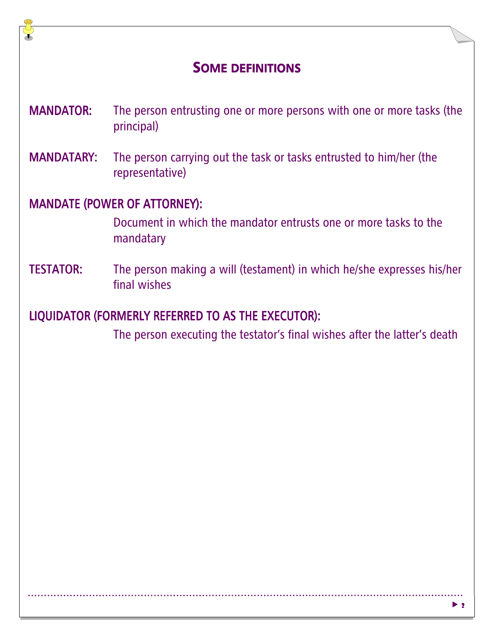#### SOME DEFINITIONS

- MANDATOR: The person entrusting one or more persons with one or more tasks (the principal)
- MANDATARY: The person carrying out the task or tasks entrusted to him/her (the representative)

#### MANDATE (POWER OF ATTORNEY):

 Document in which the mandator entrusts one or more tasks to the mandatary

**TESTATOR:** The person making a will (testament) in which he/she expresses his/her final wishes

#### LIQUIDATOR (FORMERLY REFERRED TO AS THE EXECUTOR):

The person executing the testator's final wishes after the latter's death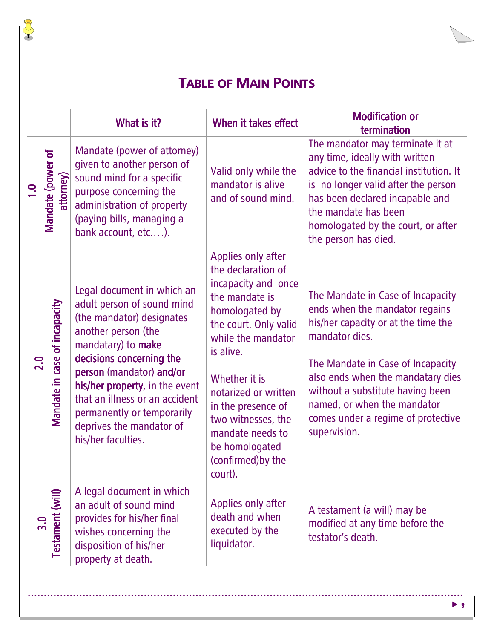# **TABLE OF MAIN POINTS**

J

|                                                 | What is it?                                                                                                                                                                                                                                                                                                                                    | When it takes effect                                                                                                                                                                                                                                                                                                        | <b>Modification or</b><br>termination                                                                                                                                                                                                                                                                                           |
|-------------------------------------------------|------------------------------------------------------------------------------------------------------------------------------------------------------------------------------------------------------------------------------------------------------------------------------------------------------------------------------------------------|-----------------------------------------------------------------------------------------------------------------------------------------------------------------------------------------------------------------------------------------------------------------------------------------------------------------------------|---------------------------------------------------------------------------------------------------------------------------------------------------------------------------------------------------------------------------------------------------------------------------------------------------------------------------------|
| Mandate (power of<br>attorney)                  | Mandate (power of attorney)<br>given to another person of<br>sound mind for a specific<br>purpose concerning the<br>administration of property<br>(paying bills, managing a<br>bank account, etc).                                                                                                                                             | Valid only while the<br>mandator is alive<br>and of sound mind.                                                                                                                                                                                                                                                             | The mandator may terminate it at<br>any time, ideally with written<br>advice to the financial institution. It<br>is no longer valid after the person<br>has been declared incapable and<br>the mandate has been<br>homologated by the court, or after<br>the person has died.                                                   |
| Mandate in case of incapacity<br>$\overline{a}$ | Legal document in which an<br>adult person of sound mind<br>(the mandator) designates<br>another person (the<br>mandatary) to make<br>decisions concerning the<br>person (mandator) and/or<br>his/her property, in the event<br>that an illness or an accident<br>permanently or temporarily<br>deprives the mandator of<br>his/her faculties. | Applies only after<br>the declaration of<br>incapacity and once<br>the mandate is<br>homologated by<br>the court. Only valid<br>while the mandator<br>is alive.<br>Whether it is<br>notarized or written<br>in the presence of<br>two witnesses, the<br>mandate needs to<br>be homologated<br>(confirmed) by the<br>court). | The Mandate in Case of Incapacity<br>ends when the mandator regains<br>his/her capacity or at the time the<br>mandator dies.<br>The Mandate in Case of Incapacity<br>also ends when the mandatary dies<br>without a substitute having been<br>named, or when the mandator<br>comes under a regime of protective<br>supervision. |
| Testament (will)                                | A legal document in which<br>an adult of sound mind<br>provides for his/her final<br>wishes concerning the<br>disposition of his/her<br>property at death.                                                                                                                                                                                     | Applies only after<br>death and when<br>executed by the<br>liquidator.                                                                                                                                                                                                                                                      | A testament (a will) may be<br>modified at any time before the<br>testator's death.                                                                                                                                                                                                                                             |
|                                                 |                                                                                                                                                                                                                                                                                                                                                |                                                                                                                                                                                                                                                                                                                             |                                                                                                                                                                                                                                                                                                                                 |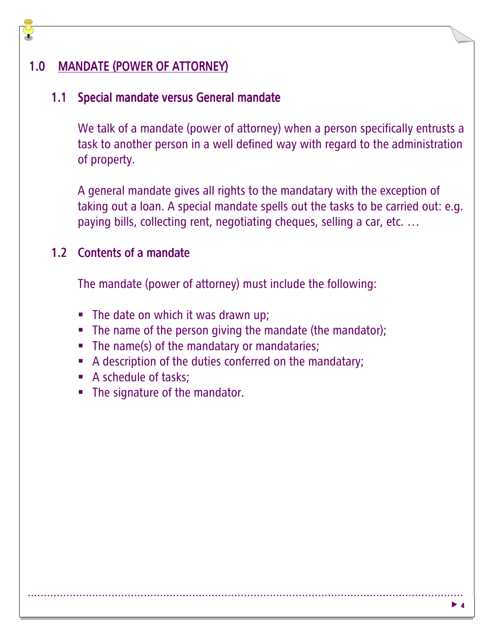#### 1.0 MANDATE (POWER OF ATTORNEY)

#### 1.1 Special mandate versus General mandate

We talk of a mandate (power of attorney) when a person specifically entrusts a task to another person in a well defined way with regard to the administration of property.

A general mandate gives all rights to the mandatary with the exception of taking out a loan. A special mandate spells out the tasks to be carried out: e.g. paying bills, collecting rent, negotiating cheques, selling a car, etc. …

#### 1.2 Contents of a mandate

The mandate (power of attorney) must include the following:

- **The date on which it was drawn up;**
- The name of the person giving the mandate (the mandator);
- The name(s) of the mandatary or mandataries;
- **A description of the duties conferred on the mandatary;**
- A schedule of tasks;
- **The signature of the mandator.**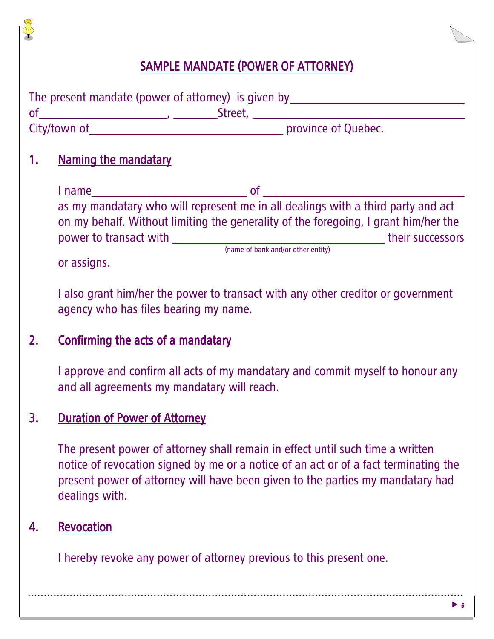#### SAMPLE MANDATE (POWER OF ATTORNEY)

|                | The present mandate (power of attorney) is given by_____________________________                                                                                                                                                                         |  |
|----------------|----------------------------------------------------------------------------------------------------------------------------------------------------------------------------------------------------------------------------------------------------------|--|
|                |                                                                                                                                                                                                                                                          |  |
| 1 <sub>1</sub> | <b>Naming the mandatary</b>                                                                                                                                                                                                                              |  |
|                |                                                                                                                                                                                                                                                          |  |
|                | as my mandatary who will represent me in all dealings with a third party and act<br>on my behalf. Without limiting the generality of the foregoing, I grant him/her the<br>or assigns.                                                                   |  |
|                | I also grant him/her the power to transact with any other creditor or government<br>agency who has files bearing my name.                                                                                                                                |  |
| 2.             | <b>Confirming the acts of a mandatary</b>                                                                                                                                                                                                                |  |
|                | I approve and confirm all acts of my mandatary and commit myself to honour any<br>and all agreements my mandatary will reach.                                                                                                                            |  |
| 3.             | <b>Duration of Power of Attorney</b>                                                                                                                                                                                                                     |  |
|                | The present power of attorney shall remain in effect until such time a written<br>notice of revocation signed by me or a notice of an act or of a fact terminating the<br>present power of attorney will have been given to the parties my mandatary had |  |

dealings with.

# 4. Revocation

I hereby revoke any power of attorney previous to this present one.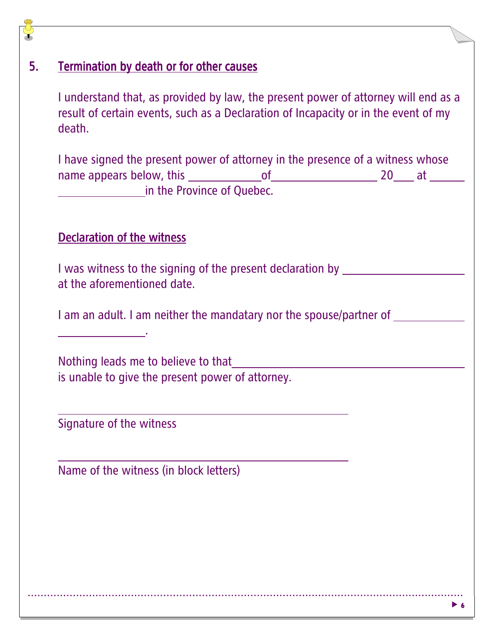#### 5. Termination by death or for other causes

I understand that, as provided by law, the present power of attorney will end as a result of certain events, such as a Declaration of Incapacity or in the event of my death.

I have signed the present power of attorney in the presence of a witness whose name appears below, this of 20 at **in the Province of Quebec.** 

#### Declaration of the witness

I was witness to the signing of the present declaration by at the aforementioned date.

I am an adult. I am neither the mandatary nor the spouse/partner of

Nothing leads me to believe to that is unable to give the present power of attorney.

Signature of the witness

l

L

Name of the witness (in block letters)

.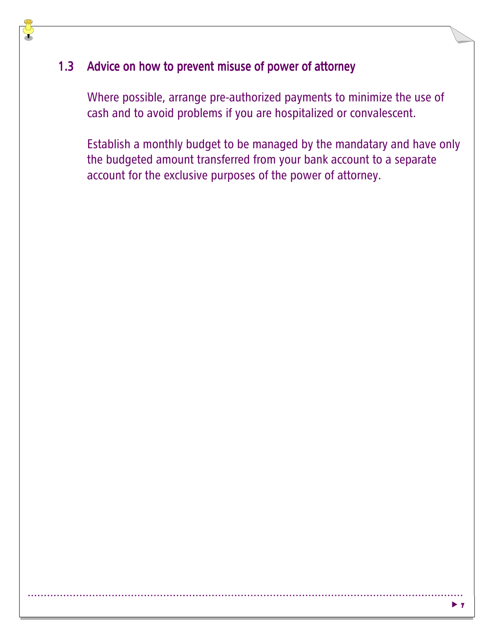#### 1.3 Advice on how to prevent misuse of power of attorney

Where possible, arrange pre-authorized payments to minimize the use of cash and to avoid problems if you are hospitalized or convalescent.

Establish a monthly budget to be managed by the mandatary and have only the budgeted amount transferred from your bank account to a separate account for the exclusive purposes of the power of attorney.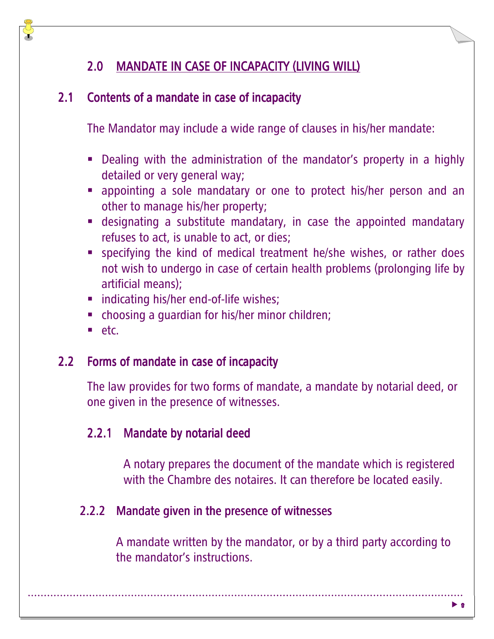#### 2.0 MANDATE IN CASE OF INCAPACITY (LIVING WILL)

#### 2.1 Contents of a mandate in case of incapacity

The Mandator may include a wide range of clauses in his/her mandate:

- Dealing with the administration of the mandator's property in a highly detailed or very general way;
- appointing a sole mandatary or one to protect his/her person and an other to manage his/her property;
- **Example 3 is obseignating** a substitute mandatary, in case the appointed mandatary refuses to act, is unable to act, or dies;
- **SPECIFY 19 IS NOTE 10 IS NOTE 10 IS NOTE 10 IS NOTE:** Specifying the kind of medical treatment he/she specifying not wish to undergo in case of certain health problems (prolonging life by artificial means);
- **•** indicating his/her end-of-life wishes;
- **•** choosing a guardian for his/her minor children;
- etc.

#### 2.2 Forms of mandate in case of incapacity

The law provides for two forms of mandate, a mandate by notarial deed, or one given in the presence of witnesses.

#### 2.2.1 Mandate by notarial deed

A notary prepares the document of the mandate which is registered with the Chambre des notaires. It can therefore be located easily.

#### 2.2.2 Mandate given in the presence of witnesses

A mandate written by the mandator, or by a third party according to the mandator's instructions.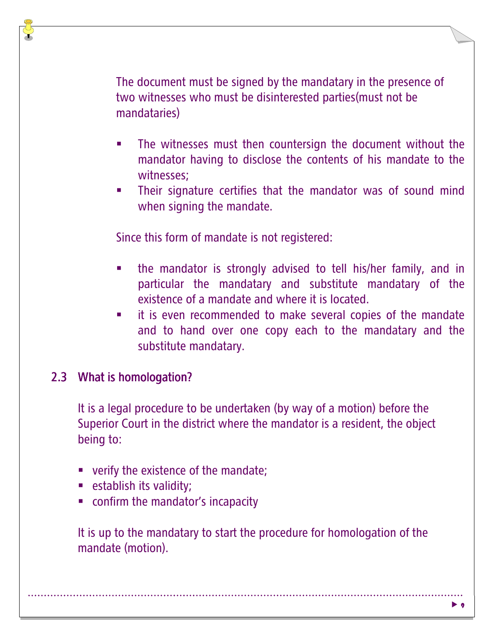The document must be signed by the mandatary in the presence of two witnesses who must be disinterested parties(must not be mandataries)

- - The witnesses must then countersign the document without the mandator having to disclose the contents of his mandate to the witnesses;
- - Their signature certifies that the mandator was of sound mind when signing the mandate.

Since this form of mandate is not registered:

- the mandator is strongly advised to tell his/her family, and in particular the mandatary and substitute mandatary of the existence of a mandate and where it is located.
- it is even recommended to make several copies of the mandate and to hand over one copy each to the mandatary and the substitute mandatary.

### 2.3 What is homologation?

It is a legal procedure to be undertaken (by way of a motion) before the Superior Court in the district where the mandator is a resident, the object being to:

- **•** verify the existence of the mandate;
- **Exercise in the set is validity;**
- **•** confirm the mandator's incapacity

It is up to the mandatary to start the procedure for homologation of the mandate (motion).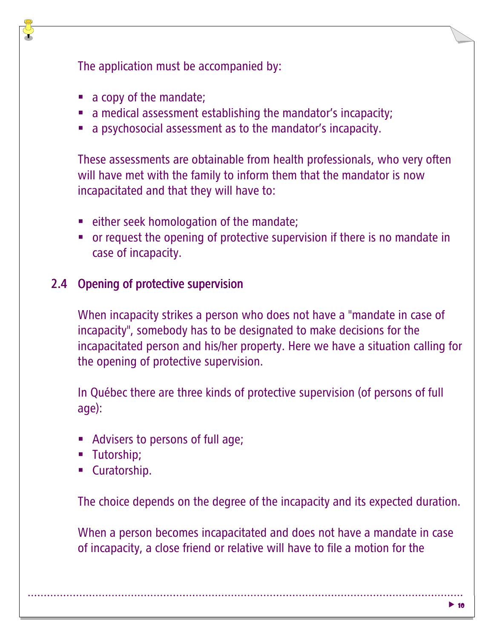The application must be accompanied by:

- a copy of the mandate;
- **a** medical assessment establishing the mandator's incapacity;
- **a** psychosocial assessment as to the mandator's incapacity.

These assessments are obtainable from health professionals, who very often will have met with the family to inform them that the mandator is now incapacitated and that they will have to:

- **Example 2** either seek homologation of the mandate;
- or request the opening of protective supervision if there is no mandate in case of incapacity.

#### 2.4 Opening of protective supervision

When incapacity strikes a person who does not have a "mandate in case of incapacity", somebody has to be designated to make decisions for the incapacitated person and his/her property. Here we have a situation calling for the opening of protective supervision.

In Québec there are three kinds of protective supervision (of persons of full age):

- **Advisers to persons of full age;**
- **-** Tutorship;
- **Curatorship.**

The choice depends on the degree of the incapacity and its expected duration.

When a person becomes incapacitated and does not have a mandate in case of incapacity, a close friend or relative will have to file a motion for the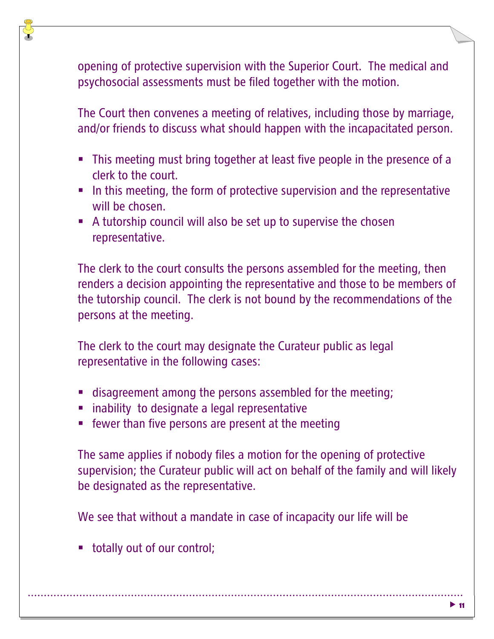opening of protective supervision with the Superior Court. The medical and psychosocial assessments must be filed together with the motion.

The Court then convenes a meeting of relatives, including those by marriage, and/or friends to discuss what should happen with the incapacitated person.

- This meeting must bring together at least five people in the presence of a clerk to the court.
- In this meeting, the form of protective supervision and the representative will be chosen.
- A tutorship council will also be set up to supervise the chosen representative.

The clerk to the court consults the persons assembled for the meeting, then renders a decision appointing the representative and those to be members of the tutorship council. The clerk is not bound by the recommendations of the persons at the meeting.

The clerk to the court may designate the Curateur public as legal representative in the following cases:

- **In the stage is also intered in the meeting** in disagreement among the persons assembled for the meeting;
- **·** inability to designate a legal representative
- **EXECT:** fewer than five persons are present at the meeting

The same applies if nobody files a motion for the opening of protective supervision; the Curateur public will act on behalf of the family and will likely be designated as the representative.

We see that without a mandate in case of incapacity our life will be

**•** totally out of our control;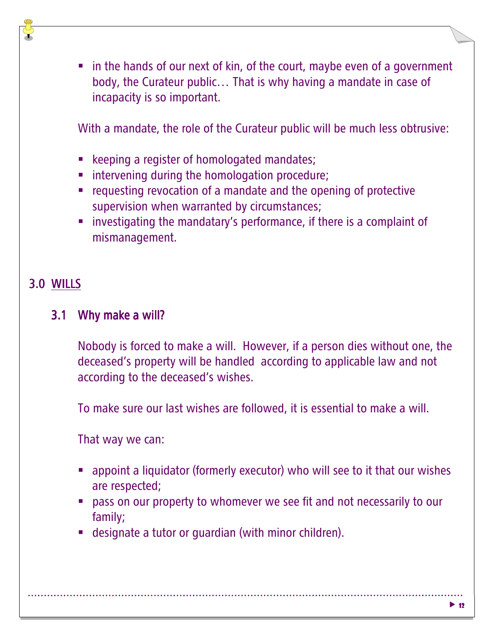• in the hands of our next of kin, of the court, maybe even of a government body, the Curateur public… That is why having a mandate in case of incapacity is so important.

With a mandate, the role of the Curateur public will be much less obtrusive:

- **EXECTEDFEDED** Reprise of homologated mandates;
- **EXEDENT** intervening during the homologation procedure;
- requesting revocation of a mandate and the opening of protective supervision when warranted by circumstances;
- **EXP** investigating the mandatary's performance, if there is a complaint of mismanagement.

# 3.0 WILLS

#### 3.1 Why make a will?

Nobody is forced to make a will. However, if a person dies without one, the deceased's property will be handled according to applicable law and not according to the deceased's wishes.

To make sure our last wishes are followed, it is essential to make a will.

That way we can:

- **•** appoint a liquidator (formerly executor) who will see to it that our wishes are respected;
- pass on our property to whomever we see fit and not necessarily to our family;
- **-** designate a tutor or guardian (with minor children).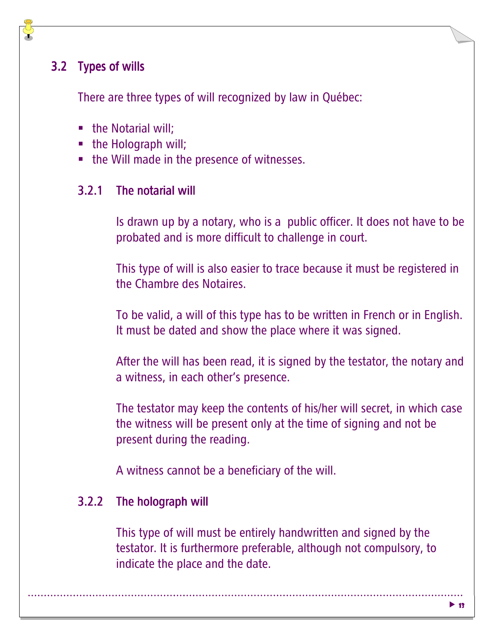#### 3.2 Types of wills

There are three types of will recognized by law in Québec:

- the Notarial will;
- the Holograph will;
- the Will made in the presence of witnesses.

#### $3.2.1$  The notarial will

Is drawn up by a notary, who is a public officer. It does not have to be probated and is more difficult to challenge in court.

This type of will is also easier to trace because it must be registered in the Chambre des Notaires.

To be valid, a will of this type has to be written in French or in English. It must be dated and show the place where it was signed.

After the will has been read, it is signed by the testator, the notary and a witness, in each other's presence.

The testator may keep the contents of his/her will secret, in which case the witness will be present only at the time of signing and not be present during the reading.

A witness cannot be a beneficiary of the will.

#### $3.2.2$  The holograph will

This type of will must be entirely handwritten and signed by the testator. It is furthermore preferable, although not compulsory, to indicate the place and the date.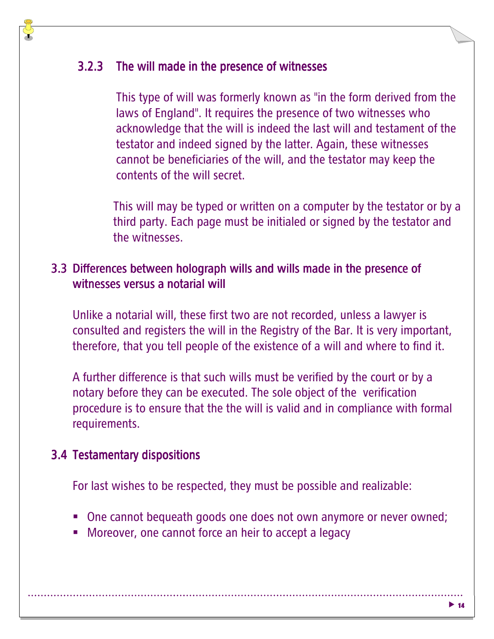#### 3.2.3 The will made in the presence of witnesses

This type of will was formerly known as "in the form derived from the laws of England". It requires the presence of two witnesses who acknowledge that the will is indeed the last will and testament of the testator and indeed signed by the latter. Again, these witnesses cannot be beneficiaries of the will, and the testator may keep the contents of the will secret.

This will may be typed or written on a computer by the testator or by a third party. Each page must be initialed or signed by the testator and the witnesses.

#### 3.3 Differences between holograph wills and wills made in the presence of witnesses versus a notarial will

Unlike a notarial will, these first two are not recorded, unless a lawyer is consulted and registers the will in the Registry of the Bar.It is very important, therefore, that you tell people of the existence of a will and where to find it.

A further difference is that such wills must be verified by the court or by a notary before they can be executed. The sole object of the verification procedure is to ensure that the the will is valid and in compliance with formal requirements.

#### 3.4 Testamentary dispositions

For last wishes to be respected, they must be possible and realizable:

- One cannot bequeath goods one does not own anymore or never owned;
- **-** Moreover, one cannot force an heir to accept a legacy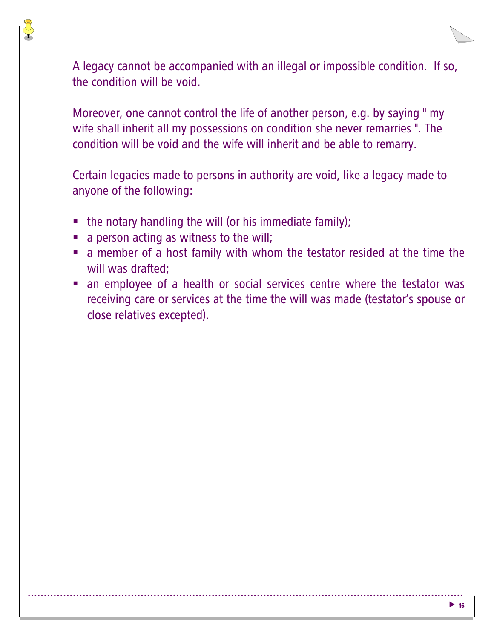A legacy cannot be accompanied with an illegal or impossible condition. If so, the condition will be void.

Moreover, one cannot control the life of another person, e.g. by saying " my wife shall inherit all my possessions on condition she never remarries ". The condition will be void and the wife will inherit and be able to remarry.

Certain legacies made to persons in authority are void, like a legacy made to anyone of the following:

- the notary handling the will (or his immediate family);
- a person acting as witness to the will;
- **a** member of a host family with whom the testator resided at the time the will was drafted;
- an employee of a health or social services centre where the testator was receiving care or services at the time the will was made (testator's spouse or close relatives excepted).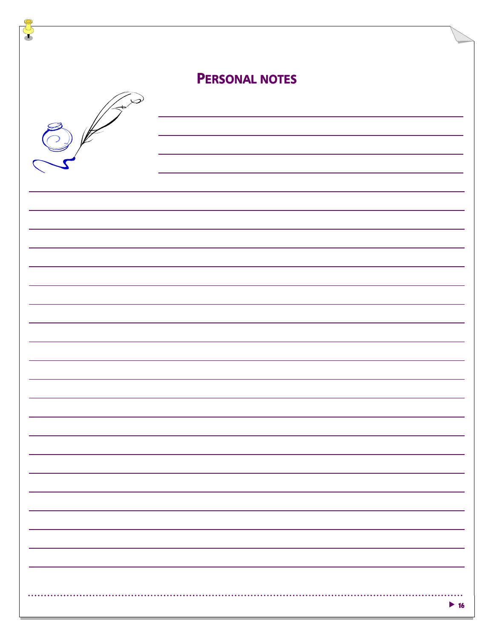| <b>PERSONAL NOTES</b> |                          |
|-----------------------|--------------------------|
|                       |                          |
|                       |                          |
|                       |                          |
|                       |                          |
|                       |                          |
|                       |                          |
|                       |                          |
|                       |                          |
|                       |                          |
|                       |                          |
|                       |                          |
|                       |                          |
|                       |                          |
|                       |                          |
|                       |                          |
|                       |                          |
|                       |                          |
|                       |                          |
|                       |                          |
|                       |                          |
|                       | $\blacktriangleright$ 16 |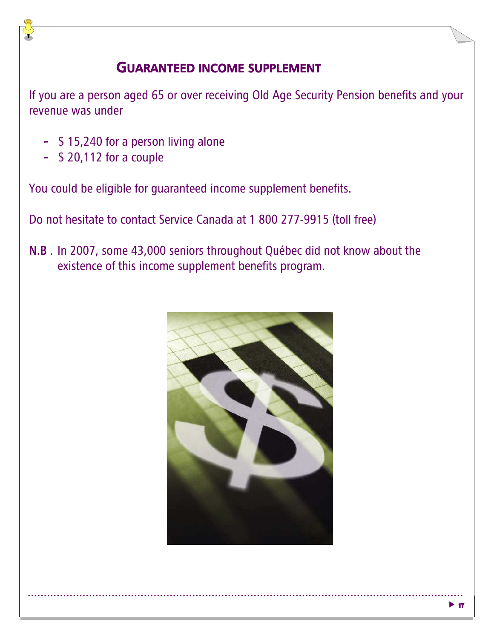#### GUARANTEED INCOME SUPPLEMENT

If you are a person aged 65 or over receiving Old Age Security Pension benefits and your revenue was under

- \$ 15,240 for a person living alone
- \$ 20,112 for a couple

You could be eligible for guaranteed income supplement benefits.

Do not hesitate to contact Service Canada at 1 800 277-9915 (toll free)

N.B . In 2007, some 43,000 seniors throughout Québec did not know about the existence of this income supplement benefits program.